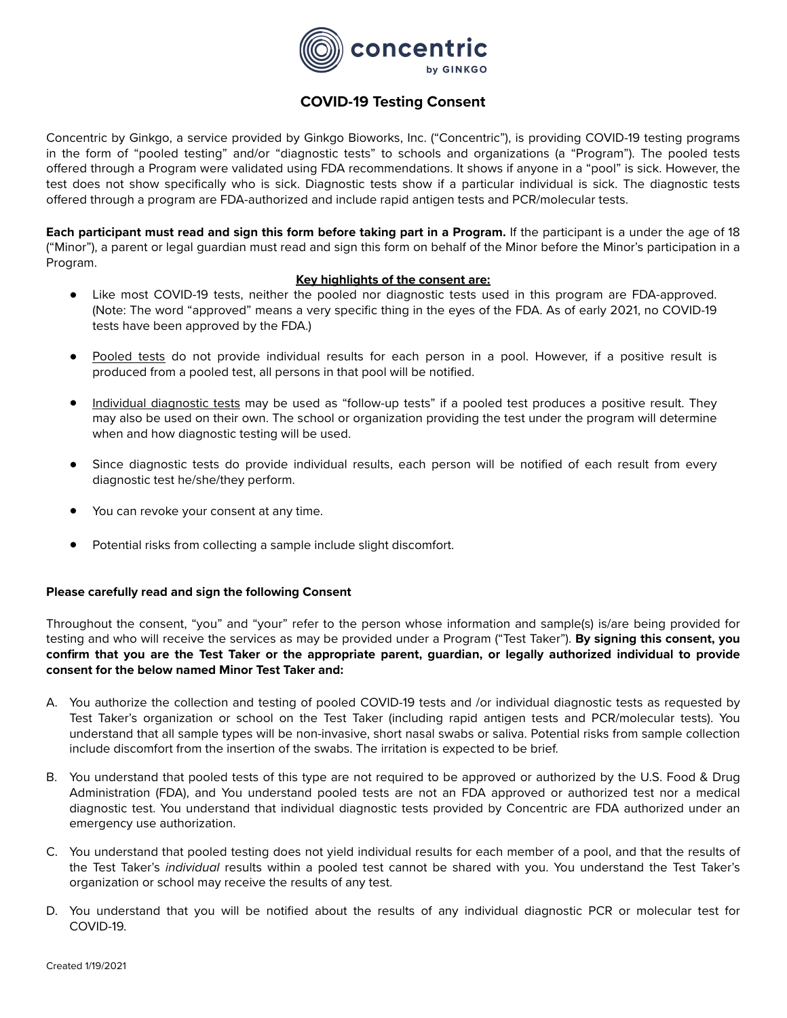

## **COVID-19 Testing Consent**

Concentric by Ginkgo, a service provided by Ginkgo Bioworks, Inc. ("Concentric"), is providing COVID-19 testing programs in the form of "pooled testing" and/or "diagnostic tests" to schools and organizations (a "Program"). The pooled tests offered through a Program were validated using FDA recommendations. It shows if anyone in a "pool" is sick. However, the test does not show specifically who is sick. Diagnostic tests show if a particular individual is sick. The diagnostic tests offered through a program are FDA-authorized and include rapid antigen tests and PCR/molecular tests.

**Each participant must read and sign this form before taking part in a Program.** If the participant is a under the age of 18 ("Minor"), a parent or legal guardian must read and sign this form on behalf of the Minor before the Minor's participation in a Program.

## **Key highlights of the consent are:**

- Like most COVID-19 tests, neither the pooled nor diagnostic tests used in this program are FDA-approved. (Note: The word "approved" means a very specific thing in the eyes of the FDA. As of early 2021, no COVID-19 tests have been approved by the FDA.)
- Pooled tests do not provide individual results for each person in a pool. However, if a positive result is produced from a pooled test, all persons in that pool will be notified.
- Individual diagnostic tests may be used as "follow-up tests" if a pooled test produces a positive result. They may also be used on their own. The school or organization providing the test under the program will determine when and how diagnostic testing will be used.
- Since diagnostic tests do provide individual results, each person will be notified of each result from every diagnostic test he/she/they perform.
- You can revoke your consent at any time.
- Potential risks from collecting a sample include slight discomfort.

## **Please carefully read and sign the following Consent**

Throughout the consent, "you" and "your" refer to the person whose information and sample(s) is/are being provided for testing and who will receive the services as may be provided under a Program ("Test Taker"). **By signing this consent, you confirm that you are the Test Taker or the appropriate parent, guardian, or legally authorized individual to provide consent for the below named Minor Test Taker and:** 

- A. You authorize the collection and testing of pooled COVID-19 tests and /or individual diagnostic tests as requested by Test Taker's organization or school on the Test Taker (including rapid antigen tests and PCR/molecular tests). You understand that all sample types will be non-invasive, short nasal swabs or saliva. Potential risks from sample collection include discomfort from the insertion of the swabs. The irritation is expected to be brief.
- B. You understand that pooled tests of this type are not required to be approved or authorized by the U.S. Food & Drug Administration (FDA), and You understand pooled tests are not an FDA approved or authorized test nor a medical diagnostic test. You understand that individual diagnostic tests provided by Concentric are FDA authorized under an emergency use authorization.
- C. You understand that pooled testing does not yield individual results for each member of a pool, and that the results of the Test Taker's *individual* results within a pooled test cannot be shared with you. You understand the Test Taker's organization or school may receive the results of any test.
- D. You understand that you will be notified about the results of any individual diagnostic PCR or molecular test for COVID-19.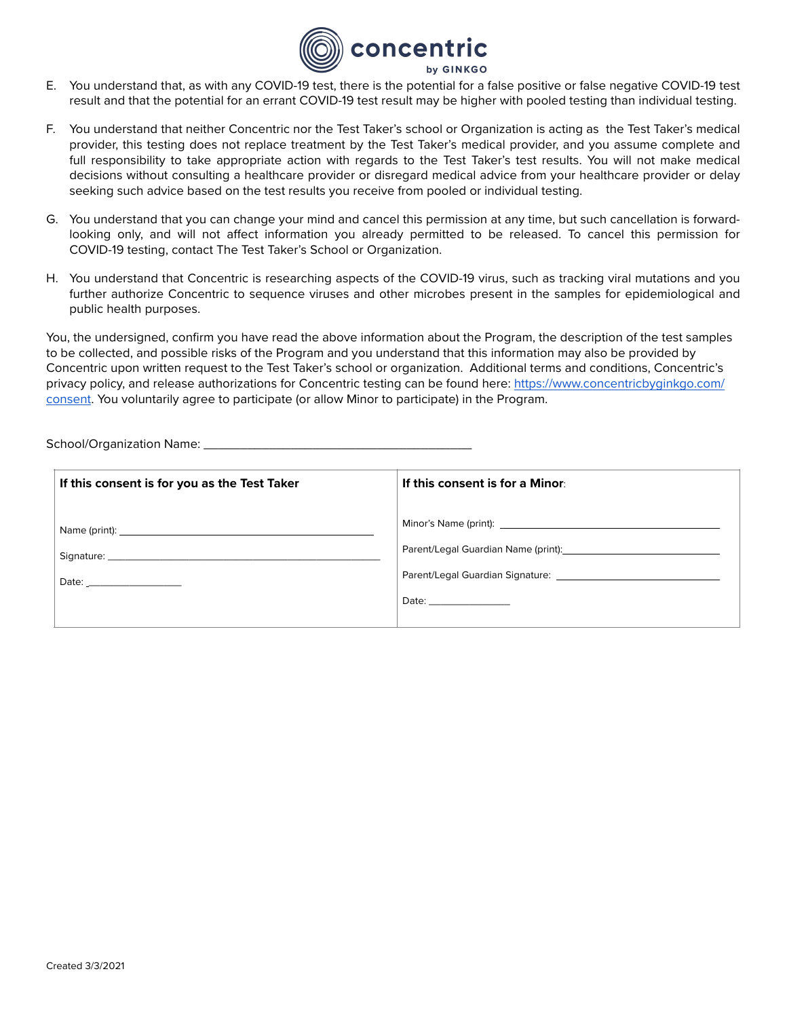

- E. You understand that, as with any COVID-19 test, there is the potential for a false positive or false negative COVID-19 test result and that the potential for an errant COVID-19 test result may be higher with pooled testing than individual testing.
- F. You understand that neither Concentric nor the Test Taker's school or Organization is acting as the Test Taker's medical provider, this testing does not replace treatment by the Test Taker's medical provider, and you assume complete and full responsibility to take appropriate action with regards to the Test Taker's test results. You will not make medical decisions without consulting a healthcare provider or disregard medical advice from your healthcare provider or delay seeking such advice based on the test results you receive from pooled or individual testing.
- G. You understand that you can change your mind and cancel this permission at any time, but such cancellation is forwardlooking only, and will not affect information you already permitted to be released. To cancel this permission for COVID-19 testing, contact The Test Taker's School or Organization.
- H. You understand that Concentric is researching aspects of the COVID-19 virus, such as tracking viral mutations and you further authorize Concentric to sequence viruses and other microbes present in the samples for epidemiological and public health purposes.

You, the undersigned, confirm you have read the above information about the Program, the description of the test samples to be collected, and possible risks of the Program and you understand that this information may also be provided by Concentric upon written request to the Test Taker's school or organization. Additional terms and conditions, Concentric's privacy policy, and release authorizations for Concentric testing can be found here: [https://www.concentricbyginkgo.com/](https://www.concentricbyginkgo.com/consent) [consent.](https://www.concentricbyginkgo.com/consent) You voluntarily agree to participate (or allow Minor to participate) in the Program.

School/Organization Name: \_\_\_\_\_\_\_\_\_\_\_\_\_\_\_\_\_\_\_\_\_\_\_\_\_\_\_\_\_\_\_\_\_\_\_\_\_

| If this consent is for you as the Test Taker                                                                                                                                                                                   | If this consent is for a Minor:                                                                         |
|--------------------------------------------------------------------------------------------------------------------------------------------------------------------------------------------------------------------------------|---------------------------------------------------------------------------------------------------------|
| Signature: Note: Note: Note: Note: Note: Note: Note: Note: Note: Note: Note: Note: Note: Note: Note: Note: Note: Note: Note: Note: Note: Note: Note: Note: Note: Note: Note: Note: Note: Note: Note: Note: Note: Note: Note: N | Parent/Legal Guardian Name (print): [14] Darent/Legal Guardian Name (print):<br>Date: _________________ |